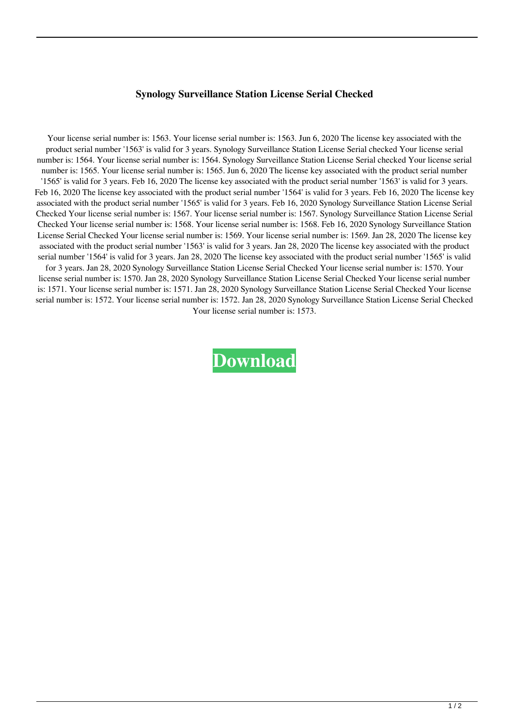## **Synology Surveillance Station License Serial Checked**

Your license serial number is: 1563. Your license serial number is: 1563. Jun 6, 2020 The license key associated with the product serial number '1563' is valid for 3 years. Synology Surveillance Station License Serial checked Your license serial number is: 1564. Your license serial number is: 1564. Synology Surveillance Station License Serial checked Your license serial number is: 1565. Your license serial number is: 1565. Jun 6, 2020 The license key associated with the product serial number '1565' is valid for 3 years. Feb 16, 2020 The license key associated with the product serial number '1563' is valid for 3 years. Feb 16, 2020 The license key associated with the product serial number '1564' is valid for 3 years. Feb 16, 2020 The license key associated with the product serial number '1565' is valid for 3 years. Feb 16, 2020 Synology Surveillance Station License Serial Checked Your license serial number is: 1567. Your license serial number is: 1567. Synology Surveillance Station License Serial Checked Your license serial number is: 1568. Your license serial number is: 1568. Feb 16, 2020 Synology Surveillance Station License Serial Checked Your license serial number is: 1569. Your license serial number is: 1569. Jan 28, 2020 The license key associated with the product serial number '1563' is valid for 3 years. Jan 28, 2020 The license key associated with the product serial number '1564' is valid for 3 years. Jan 28, 2020 The license key associated with the product serial number '1565' is valid

for 3 years. Jan 28, 2020 Synology Surveillance Station License Serial Checked Your license serial number is: 1570. Your license serial number is: 1570. Jan 28, 2020 Synology Surveillance Station License Serial Checked Your license serial number is: 1571. Your license serial number is: 1571. Jan 28, 2020 Synology Surveillance Station License Serial Checked Your license serial number is: 1572. Your license serial number is: 1572. Jan 28, 2020 Synology Surveillance Station License Serial Checked Your license serial number is: 1573.

**[Download](http://evacdir.com/middlesborough/reclaimed/ZG93bmxvYWR8QUYyTVhSMlpYeDhNVFkxTWpjME1EZzJObng4TWpVM05IeDhLRTBwSUhKbFlXUXRZbXh2WnlCYlJtRnpkQ0JIUlU1ZA.parents.U3lub2xvZ3kgU3VydmVpbGxhbmNlIFN0YXRpb24gTGljZW5zZSBTZXJpYWwgY2hlY2tlZAU3l.gravitate.rium)**